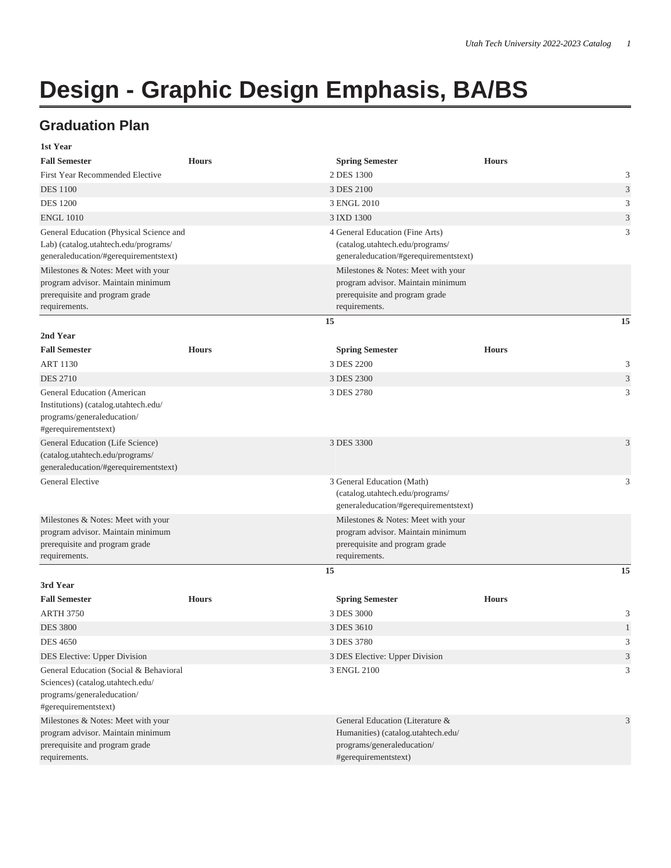## **Design - Graphic Design Emphasis, BA/BS**

## **Graduation Plan**

| 1st Year                                                                                                                         |              |                                                                                                                             |                             |
|----------------------------------------------------------------------------------------------------------------------------------|--------------|-----------------------------------------------------------------------------------------------------------------------------|-----------------------------|
| <b>Fall Semester</b>                                                                                                             | <b>Hours</b> | <b>Spring Semester</b>                                                                                                      | <b>Hours</b>                |
| <b>First Year Recommended Elective</b>                                                                                           |              | 2 DES 1300                                                                                                                  | 3                           |
| <b>DES</b> 1100                                                                                                                  |              | 3 DES 2100                                                                                                                  | $\ensuremath{\mathfrak{Z}}$ |
| <b>DES 1200</b>                                                                                                                  |              | 3 ENGL 2010                                                                                                                 | 3                           |
| <b>ENGL 1010</b>                                                                                                                 |              | 3 IXD 1300                                                                                                                  | $\mathfrak{Z}$              |
| General Education (Physical Science and<br>Lab) (catalog.utahtech.edu/programs/<br>generaleducation/#gerequirementstext)         |              | 4 General Education (Fine Arts)<br>(catalog.utahtech.edu/programs/<br>generaleducation/#gerequirementstext)                 | 3                           |
| Milestones & Notes: Meet with your<br>program advisor. Maintain minimum<br>prerequisite and program grade<br>requirements.       |              | Milestones & Notes: Meet with your<br>program advisor. Maintain minimum<br>prerequisite and program grade<br>requirements.  |                             |
|                                                                                                                                  |              | 15                                                                                                                          | 15                          |
| 2nd Year<br><b>Fall Semester</b><br><b>ART 1130</b>                                                                              | <b>Hours</b> | <b>Spring Semester</b><br>3 DES 2200                                                                                        | <b>Hours</b><br>3           |
| <b>DES 2710</b>                                                                                                                  |              | 3 DES 2300                                                                                                                  | $\mathfrak{Z}$              |
| General Education (American<br>Institutions) (catalog.utahtech.edu/<br>programs/generaleducation/<br>#gerequirementstext)        |              | 3 DES 2780                                                                                                                  | 3                           |
| General Education (Life Science)<br>(catalog.utahtech.edu/programs/<br>generaleducation/#gerequirementstext)                     |              | 3 DES 3300                                                                                                                  | 3                           |
| <b>General Elective</b>                                                                                                          |              | 3 General Education (Math)<br>(catalog.utahtech.edu/programs/<br>generaleducation/#gerequirementstext)                      | 3                           |
| Milestones & Notes: Meet with your<br>program advisor. Maintain minimum<br>prerequisite and program grade<br>requirements.       |              | Milestones & Notes: Meet with your<br>program advisor. Maintain minimum<br>prerequisite and program grade<br>requirements.  |                             |
|                                                                                                                                  |              | 15                                                                                                                          | 15                          |
| 3rd Year                                                                                                                         |              |                                                                                                                             |                             |
| <b>Fall Semester</b>                                                                                                             | <b>Hours</b> | <b>Spring Semester</b>                                                                                                      | <b>Hours</b>                |
| <b>ARTH 3750</b>                                                                                                                 |              | 3 DES 3000                                                                                                                  | 3                           |
| <b>DES 3800</b><br><b>DES 4650</b>                                                                                               |              | 3 DES 3610<br>3 DES 3780                                                                                                    | 3                           |
| DES Elective: Upper Division                                                                                                     |              | 3 DES Elective: Upper Division                                                                                              | $\mathfrak{Z}$              |
| General Education (Social & Behavioral<br>Sciences) (catalog.utahtech.edu/<br>programs/generaleducation/<br>#gerequirementstext) |              | 3 ENGL 2100                                                                                                                 | 3                           |
| Milestones & Notes: Meet with your<br>program advisor. Maintain minimum<br>prerequisite and program grade<br>requirements.       |              | General Education (Literature &<br>Humanities) (catalog.utahtech.edu/<br>programs/generaleducation/<br>#gerequirementstext) | 3                           |